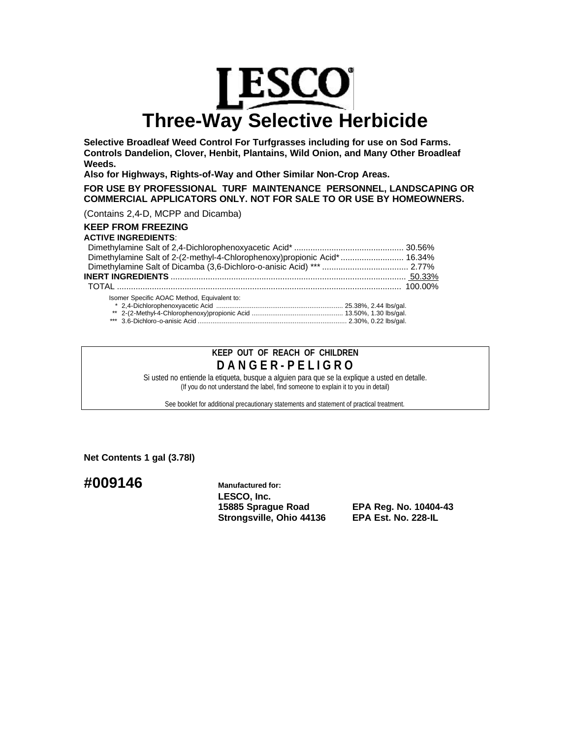# **LESCO Three-Way Selective Herbicide**

**Selective Broadleaf Weed Control For Turfgrasses including for use on Sod Farms. Controls Dandelion, Clover, Henbit, Plantains, Wild Onion, and Many Other Broadleaf Weeds.**

**Also for Highways, Rights-of-Way and Other Similar Non-Crop Areas.**

**FOR USE BY PROFESSIONAL TURF MAINTENANCE PERSONNEL, LANDSCAPING OR COMMERCIAL APPLICATORS ONLY. NOT FOR SALE TO OR USE BY HOMEOWNERS.**

(Contains 2,4-D, MCPP and Dicamba)

# **KEEP FROM FREEZING**

## **ACTIVE INGREDIENTS**:

| Dimethylamine Salt of 2-(2-methyl-4-Chlorophenoxy)propionic Acid*  16.34% |  |
|---------------------------------------------------------------------------|--|
|                                                                           |  |
|                                                                           |  |
|                                                                           |  |
| Isomer Specific AOAC Method, Equivalent to:                               |  |
|                                                                           |  |
|                                                                           |  |
|                                                                           |  |

# **KEEP OUT OF REACH OF CHILDREN D A N G E R - P E L I G R O**

Si usted no entiende la etiqueta, busque a alguien para que se la explique a usted en detalle. (If you do not understand the label, find someone to explain it to you in detail)

See booklet for additional precautionary statements and statement of practical treatment.

**Net Contents 1 gal (3.78l)**

**#009146 Manufactured for:**

**LESCO, Inc. 15885 Sprague Road EPA Reg. No. 10404-43 Strongsville, Ohio 44136 EPA Est. No. 228-IL**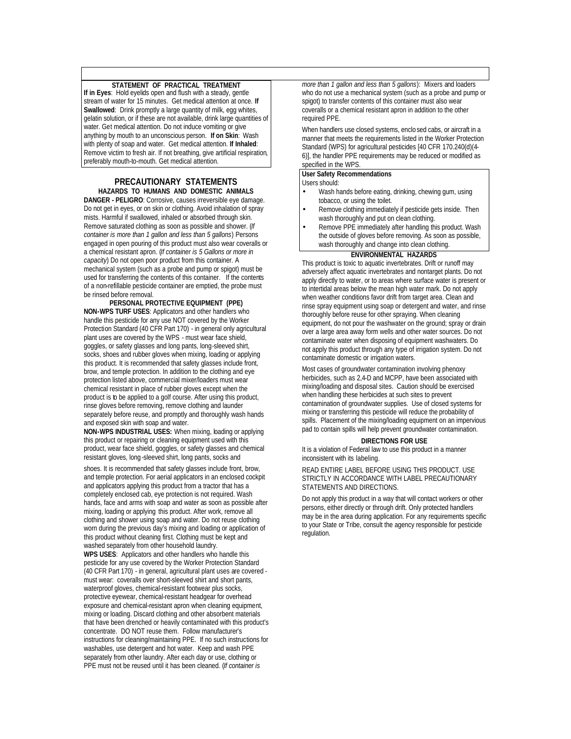## **STATEMENT OF PRACTICAL TREATMENT**

**If in Eyes**: Hold eyelids open and flush with a steady, gentle stream of water for 15 minutes. Get medical attention at once. **If Swallowed**: Drink promptly a large quantity of milk, egg whites, gelatin solution, or if these are not available, drink large quantities of water. Get medical attention. Do not induce vomiting or give anything by mouth to an unconscious person. **If on Skin**: Wash with plenty of soap and water. Get medical attention. **If Inhaled**: Remove victim to fresh air. If not breathing, give artificial respiration, preferably mouth-to-mouth. Get medical attention.

#### **PRECAUTIONARY STATEMENTS HAZARDS TO HUMANS AND DOMESTIC ANIMALS**

**DANGER - PELIGRO**: Corrosive, causes irreversible eye damage. Do not get in eyes, or on skin or clothing. Avoid inhalation of spray mists. Harmful if swallowed, inhaled or absorbed through skin. Remove saturated clothing as soon as possible and shower. (*If container is more than 1 gallon and less than 5 gallons*) Persons engaged in open pouring of this product must also wear coveralls or a chemical resistant apron. (*If container is 5 Gallons or more in capacity*) Do not open poor product from this container. A mechanical system (such as a probe and pump or spigot) must be used for transferring the contents of this container. If the contents of a non-refillable pesticide container are emptied, the probe must be rinsed before removal.

**PERSONAL PROTECTIVE EQUIPMENT (PPE) NON-WPS TURF USES**: Applicators and other handlers who handle this pesticide for any use NOT covered by the Worker Protection Standard (40 CFR Part 170) - in general only agricultural plant uses are covered by the WPS - must wear face shield, goggles, or safety glasses and long pants, long-sleeved shirt, socks, shoes and rubber gloves when mixing, loading or applying this product. It is recommended that safety glasses include front, brow, and temple protection. In addition to the clothing and eye protection listed above, commercial mixer/loaders must wear chemical resistant in place of rubber gloves except when the product is to be applied to a golf course. After using this product, rinse gloves before removing, remove clothing and launder separately before reuse, and promptly and thoroughly wash hands and exposed skin with soap and water.

**NON-WPS INDUSTRIAL USES:** When mixing, loading or applying this product or repairing or cleaning equipment used with this product, wear face shield, goggles, or safety glasses and chemical resistant gloves, long -sleeved shirt, long pants, socks and

shoes. It is recommended that safety glasses include front, brow, and temple protection. For aerial applicators in an enclosed cockpit and applicators applying this product from a tractor that has a completely enclosed cab, eye protection is not required. Wash hands, face and arms with soap and water as soon as possible after mixing, loading or applying this product. After work, remove all clothing and shower using soap and water. Do not reuse clothing worn during the previous day's mixing and loading or application of this product without cleaning first. Clothing must be kept and washed separately from other household laundry.

**WPS USES**: Applicators and other handlers who handle this pesticide for any use covered by the Worker Protection Standard (40 CFR Part 170) - in general, agricultural plant uses are covered must wear: coveralls over short-sleeved shirt and short pants, waterproof gloves, chemical-resistant footwear plus socks, protective eyewear, chemical-resistant headgear for overhead exposure and chemical-resistant apron when cleaning equipment, mixing or loading. Discard clothing and other absorbent materials that have been drenched or heavily contaminated with this product's concentrate. DO NOT reuse them. Follow manufacturer's instructions for cleaning/maintaining PPE. If no such instructions for washables, use detergent and hot water. Keep and wash PPE separately from other laundry. After each day or use, clothing or PPE must not be reused until it has been cleaned. (*If container is*

*more than 1 gallon and less than 5 gallons*): Mixers and loaders who do not use a mechanical system (such as a probe and pump or spigot) to transfer contents of this container must also wear coveralls or a chemical resistant apron in addition to the other required PPE.

When handlers use closed systems, enclo sed cabs, or aircraft in a manner that meets the requirements listed in the Worker Protection Standard (WPS) for agricultural pesticides [40 CFR 170.240(d)(4- 6)], the handler PPE requirements may be reduced or modified as specified in the WPS

# **User Safety Recommendations**

Users should:

- Wash hands before eating, drinking, chewing gum, using tobacco, or using the toilet.
- Remove clothing immediately if pesticide gets inside. Then wash thoroughly and put on clean clothing.
- Remove PPE immediately after handling this product. Wash the outside of gloves before removing. As soon as possible, wash thoroughly and change into clean clothing.

### **ENVIRONMENTAL HAZARDS**

This product is toxic to aquatic invertebrates. Drift or runoff may adversely affect aquatic invertebrates and nontarget plants. Do not apply directly to water, or to areas where surface water is present or to intertidal areas below the mean high water mark. Do not apply when weather conditions favor drift from target area. Clean and rinse spray equipment using soap or detergent and water, and rinse thoroughly before reuse for other spraying. When cleaning equipment, do not pour the washwater on the ground; spray or drain over a large area away form wells and other water sources. Do not contaminate water when disposing of equipment washwaters. Do not apply this product through any type of irrigation system. Do not contaminate domestic or irrigation waters.

Most cases of groundwater contamination involving phenoxy herbicides, such as 2,4-D and MCPP, have been associated with mixing/loading and disposal sites. Caution should be exercised when handling these herbicides at such sites to prevent contamination of groundwater supplies. Use of closed systems for mixing or transferring this pesticide will reduce the probability of spills. Placement of the mixing/loading equipment on an impervious pad to contain spills will help prevent groundwater contamination.

#### **DIRECTIONS FOR USE**

It is a violation of Federal law to use this product in a manner inconsistent with its labeling.

READ ENTIRE LABEL BEFORE USING THIS PRODUCT. USE STRICTLY IN ACCORDANCE WITH LABEL PRECAUTIONARY STATEMENTS AND DIRECTIONS.

Do not apply this product in a way that will contact workers or other persons, either directly or through drift. Only protected handlers may be in the area during application. For any requirements specific to your State or Tribe, consult the agency responsible for pesticide regulation.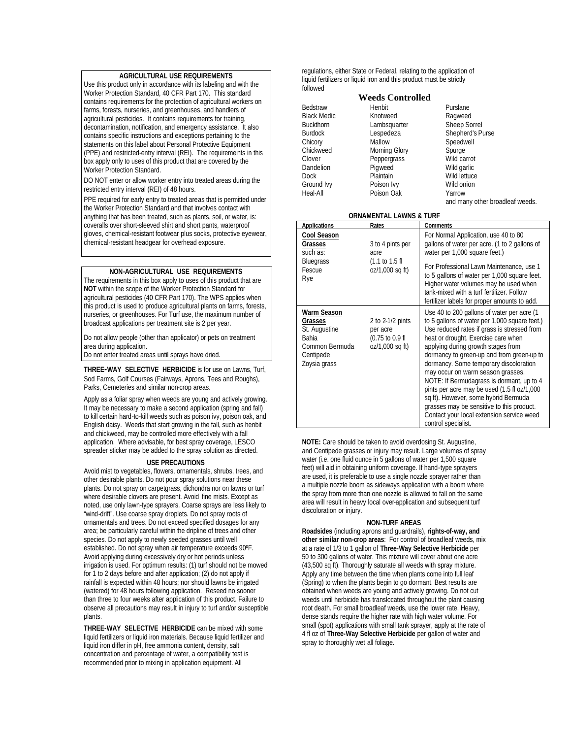#### **AGRICULTURAL USE REQUIREMENTS**

Use this product only in accordance with its labeling and with the Worker Protection Standard, 40 CFR Part 170. This standard contains requirements for the protection of agricultural workers on farms, forests, nurseries, and greenhouses, and handlers of agricultural pesticides. It contains requirements for training, decontamination, notification, and emergency assistance. It also contains specific instructions and exceptions pertaining to the statements on this label about Personal Protective Equipment (PPE) and restricted-entry interval (REI). The requirements in this box apply only to uses of this product that are covered by the Worker Protection Standard.

DO NOT enter or allow worker entry into treated areas during the restricted entry interval (REI) of 48 hours.

PPE required for early entry to treated areas that is permitted under the Worker Protection Standard and that involves contact with anything that has been treated, such as plants, soil, or water, is: coveralls over short-sleeved shirt and short pants, waterproof gloves, chemical-resistant footwear plus socks, protective eyewear, chemical-resistant headgear for overhead exposure.

#### **NON-AGRICULTURAL USE REQUIREMENTS**

The requirements in this box apply to uses of this product that are **NOT** within the scope of the Worker Protection Standard for agricultural pesticides (40 CFR Part 170). The WPS applies when this product is used to produce agricultural plants on farms, forests, nurseries, or greenhouses. For Turf use, the maximum number of broadcast applications per treatment site is 2 per year.

Do not allow people (other than applicator) or pets on treatment area during application.

Do not enter treated areas until sprays have dried.

**THREE-WAY SELECTIVE HERBICIDE** is for use on Lawns, Turf, Sod Farms, Golf Courses (Fairways, Aprons, Tees and Roughs), Parks, Cemeteries and similar non-crop areas.

Apply as a foliar spray when weeds are young and actively growing. It may be necessary to make a second application (spring and fall) to kill certain hard-to-kill weeds such as poison ivy, poison oak, and English daisy. Weeds that start growing in the fall, such as henbit and chickweed, may be controlled more effectively with a fall application. Where advisable, for best spray coverage, LESCO spreader sticker may be added to the spray solution as directed.

#### **USE PRECAUTIONS**

Avoid mist to vegetables, flowers, ornamentals, shrubs, trees, and other desirable plants. Do not pour spray solutions near these plants. Do not spray on carpetgrass, dichondra nor on lawns or turf where desirable clovers are present. Avoid fine mists. Except as noted, use only lawn-type sprayers. Coarse sprays are less likely to "wind-drift". Use coarse spray droplets. Do not spray roots of ornamentals and trees. Do not exceed specified dosages for any area; be particularly careful within the dripline of trees and other species. Do not apply to newly seeded grasses until well established. Do not spray when air temperature exceeds 90ºF. Avoid applying during excessively dry or hot periods unless irrigation is used. For optimum results: (1) turf should not be mowed for 1 to 2 days before and after application; (2) do not apply if rainfall is expected within 48 hours; nor should lawns be irrigated (watered) for 48 hours following application. Reseed no sooner than three to four weeks after application of this product. Failure to observe all precautions may result in injury to turf and/or susceptible plants.

**THREE-WAY SELECTIVE HERBICIDE** can be mixed with some liquid fertilizers or liquid iron materials. Because liquid fertilizer and liquid iron differ in pH, free ammonia content, density, salt concentration and percentage of water, a compatibility test is recommended prior to mixing in application equipment. All

regulations, either State or Federal, relating to the application of liquid fertilizers or liquid iron and this product must be strictly followed

#### **Weeds Controlled**

**Bedstraw** Black Medic Buckthorn Burdock **Chicory** Chickweed Clover Dandelion Dock Ground Ivy Heal-All Henbit Knotweed Lambsquarter Lespedeza Mallow Morning Glory Peppergrass Pigweed **Plaintain** Poison Ivy Poison Oak

Purslane Ragweed Sheep Sorrel Shepherd's Purse Speedwell Spurge Wild carrot Wild garlic Wild lettuce Wild onion Yarrow and many other broadleaf weeds.

#### **ORNAMENTAL LAWNS & TURF**

| <b>Applications</b>                                                                                    | Rates                                                              | Comments                                                                                                                                                                                                                                                                                                                                                                                                                                                                                                                                                                                                 |
|--------------------------------------------------------------------------------------------------------|--------------------------------------------------------------------|----------------------------------------------------------------------------------------------------------------------------------------------------------------------------------------------------------------------------------------------------------------------------------------------------------------------------------------------------------------------------------------------------------------------------------------------------------------------------------------------------------------------------------------------------------------------------------------------------------|
| Cool Season<br>Grasses<br>such as:<br><b>Bluegrass</b><br>Fescue<br>Rye                                | 3 to 4 pints per<br>acre<br>(1.1 to 1.5 f)<br>oz/1,000 sq ft)      | For Normal Application, use 40 to 80<br>gallons of water per acre. (1 to 2 gallons of<br>water per 1,000 square feet.)<br>For Professional Lawn Maintenance, use 1<br>to 5 gallons of water per 1,000 square feet.<br>Higher water volumes may be used when<br>tank-mixed with a turf fertilizer. Follow<br>fertilizer labels for proper amounts to add.                                                                                                                                                                                                                                                 |
| Warm Season<br>Grasses<br>St. Augustine<br><b>Bahia</b><br>Common Bermuda<br>Centipede<br>Zoysia grass | 2 to 2-1/2 pints<br>per acre<br>(0.75 to 0.9 fl<br>oz/1,000 sq ft) | Use 40 to 200 gallons of water per acre (1<br>to 5 gallons of water per 1,000 square feet.)<br>Use reduced rates if grass is stressed from<br>heat or drought. Exercise care when<br>applying during growth stages from<br>dormancy to green-up and from green-up to<br>dormancy. Some temporary discoloration<br>may occur on warm season grasses.<br>NOTE: If Bermudagrass is dormant, up to 4<br>pints per acre may be used (1.5 fl oz/1,000<br>sq ft). However, some hybrid Bermuda<br>grasses may be sensitive to this product.<br>Contact your local extension service weed<br>control specialist. |

**NOTE:** Care should be taken to avoid overdosing St. Augustine, and Centipede grasses or injury may result. Large volumes of spray water (i.e. one fluid ounce in 5 gallons of water per 1,500 square feet) will aid in obtaining uniform coverage. If hand-type sprayers are used, it is preferable to use a single nozzle sprayer rather than a multiple nozzle boom as sideways application with a boom where the spray from more than one nozzle is allowed to fall on the same area will result in heavy local over-application and subsequent turf discoloration or injury.

#### **NON-TURF AREAS**

**Roadsides** (including aprons and guardrails), **rights-of-way, and other similar non-crop areas**: For control of broadleaf weeds, mix at a rate of 1/3 to 1 gallon of **Three-Way Selective Herbicide** per 50 to 300 gallons of water. This mixture will cover about one acre (43,500 sq ft). Thoroughly saturate all weeds with spray mixture. Apply any time between the time when plants come into full leaf (Spring) to when the plants begin to go dormant. Best results are obtained when weeds are young and actively growing. Do not cut weeds until herbicide has translocated throughout the plant causing root death. For small broadleaf weeds, use the lower rate. Heavy, dense stands require the higher rate with high water volume. For small (spot) applications with small tank sprayer, apply at the rate of 4 fl oz of **Three-Way Selective Herbicide** per gallon of water and spray to thoroughly wet all foliage.